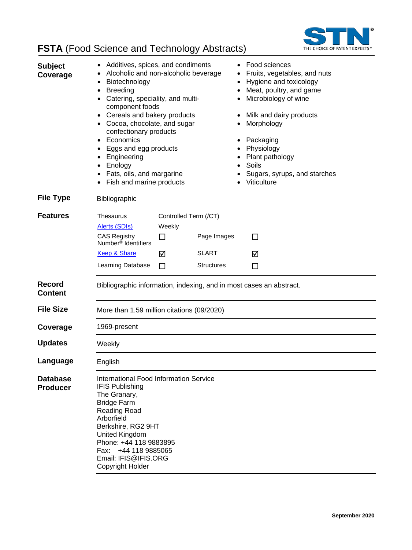

# **FSTA** (Food Science and Technology Abstracts)

| <b>Subject</b><br>Coverage         | Additives, spices, and condiments<br>Alcoholic and non-alcoholic beverage<br>Biotechnology<br><b>Breeding</b><br>$\bullet$<br>Catering, speciality, and multi-<br>component foods<br>Cereals and bakery products<br>• Cocoa, chocolate, and sugar<br>confectionary products<br>Economics<br>Eggs and egg products<br>Engineering<br>Enology<br>Fats, oils, and margarine<br>Fish and marine products |                                           |                             | Food sciences<br>Fruits, vegetables, and nuts<br>Hygiene and toxicology<br>Meat, poultry, and game<br>Microbiology of wine<br>Milk and dairy products<br>Morphology<br>Packaging<br>Physiology<br>Plant pathology<br>Soils<br>Sugars, syrups, and starches<br>Viticulture |        |
|------------------------------------|------------------------------------------------------------------------------------------------------------------------------------------------------------------------------------------------------------------------------------------------------------------------------------------------------------------------------------------------------------------------------------------------------|-------------------------------------------|-----------------------------|---------------------------------------------------------------------------------------------------------------------------------------------------------------------------------------------------------------------------------------------------------------------------|--------|
| <b>File Type</b>                   | Bibliographic                                                                                                                                                                                                                                                                                                                                                                                        |                                           |                             |                                                                                                                                                                                                                                                                           |        |
| <b>Features</b>                    | Thesaurus<br><b>Alerts (SDIs)</b><br><b>CAS Registry</b><br>Number <sup>®</sup> Identifiers<br>Keep & Share                                                                                                                                                                                                                                                                                          | Controlled Term (/CT)<br>Weekly<br>П<br>⊠ | Page Images<br><b>SLART</b> |                                                                                                                                                                                                                                                                           | П<br>☑ |
|                                    | Learning Database                                                                                                                                                                                                                                                                                                                                                                                    | П                                         | <b>Structures</b>           |                                                                                                                                                                                                                                                                           | П      |
| <b>Record</b><br><b>Content</b>    | Bibliographic information, indexing, and in most cases an abstract.                                                                                                                                                                                                                                                                                                                                  |                                           |                             |                                                                                                                                                                                                                                                                           |        |
| <b>File Size</b>                   | More than 1.59 million citations (09/2020)                                                                                                                                                                                                                                                                                                                                                           |                                           |                             |                                                                                                                                                                                                                                                                           |        |
| Coverage                           | 1969-present                                                                                                                                                                                                                                                                                                                                                                                         |                                           |                             |                                                                                                                                                                                                                                                                           |        |
| <b>Updates</b>                     | Weekly                                                                                                                                                                                                                                                                                                                                                                                               |                                           |                             |                                                                                                                                                                                                                                                                           |        |
| Language                           | English                                                                                                                                                                                                                                                                                                                                                                                              |                                           |                             |                                                                                                                                                                                                                                                                           |        |
| <b>Database</b><br><b>Producer</b> | International Food Information Service<br><b>IFIS Publishing</b><br>The Granary,<br><b>Bridge Farm</b><br>Reading Road<br>Arborfield<br>Berkshire, RG2 9HT<br>United Kingdom<br>Phone: +44 118 9883895<br>Fax: +44 118 9885065<br>Email: IFIS@IFIS.ORG<br>Copyright Holder                                                                                                                           |                                           |                             |                                                                                                                                                                                                                                                                           |        |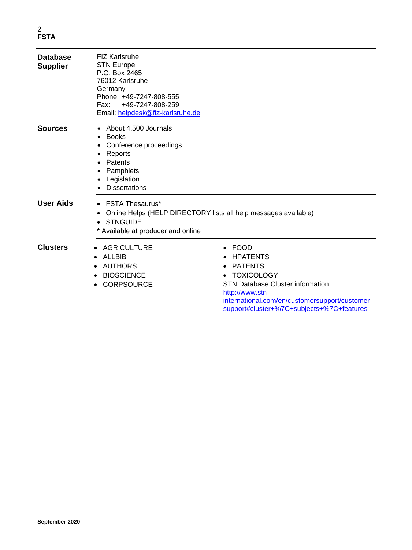| <b>Database</b><br><b>Supplier</b> | <b>FIZ Karlsruhe</b><br><b>STN Europe</b><br>P.O. Box 2465<br>76012 Karlsruhe<br>Germany<br>Phone: +49-7247-808-555<br>+49-7247-808-259<br>Fax:<br>Email: helpdesk@fiz-karlsruhe.de |                                                                                                                                                                                                                                          |
|------------------------------------|-------------------------------------------------------------------------------------------------------------------------------------------------------------------------------------|------------------------------------------------------------------------------------------------------------------------------------------------------------------------------------------------------------------------------------------|
| <b>Sources</b>                     | About 4,500 Journals<br><b>Books</b><br>Conference proceedings<br>Reports<br>Patents<br>Pamphlets<br>Legislation<br><b>Dissertations</b>                                            |                                                                                                                                                                                                                                          |
| <b>User Aids</b>                   | <b>FSTA Thesaurus*</b><br>$\bullet$<br>$\bullet$<br><b>STNGUIDE</b><br>* Available at producer and online                                                                           | Online Helps (HELP DIRECTORY lists all help messages available)                                                                                                                                                                          |
| <b>Clusters</b>                    | • AGRICULTURE<br><b>ALLBIB</b><br><b>AUTHORS</b><br><b>BIOSCIENCE</b><br><b>CORPSOURCE</b>                                                                                          | <b>FOOD</b><br><b>HPATENTS</b><br><b>PATENTS</b><br>٠<br><b>TOXICOLOGY</b><br><b>STN Database Cluster information:</b><br>http://www.stn-<br>international.com/en/customersupport/customer-<br>support#cluster+%7C+subjects+%7C+features |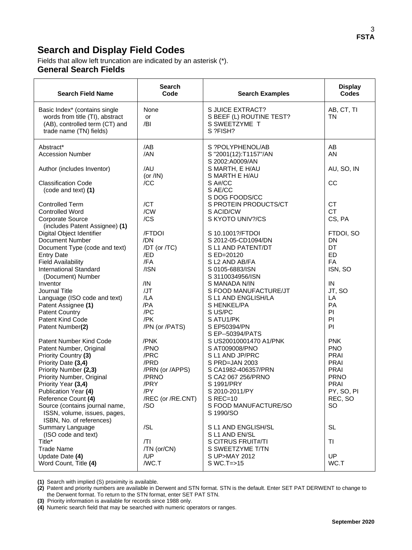### **Search and Display Field Codes**

Fields that allow left truncation are indicated by an asterisk (\*). **General Search Fields**

| <b>Search Field Name</b>                                                                                                                                                                                  | <b>Search</b><br>Code                                                               | <b>Search Examples</b>                                                                                                                                | <b>Display</b><br><b>Codes</b>                                                                                |
|-----------------------------------------------------------------------------------------------------------------------------------------------------------------------------------------------------------|-------------------------------------------------------------------------------------|-------------------------------------------------------------------------------------------------------------------------------------------------------|---------------------------------------------------------------------------------------------------------------|
| Basic Index* (contains single<br>words from title (TI), abstract<br>(AB), controlled term (CT) and<br>trade name (TN) fields)                                                                             | None<br>or<br>/BI                                                                   | S JUICE EXTRACT?<br>S BEEF (L) ROUTINE TEST?<br>S SWEETZYME T<br>S ?FISH?                                                                             | AB, CT, TI<br>TN                                                                                              |
| Abstract*<br><b>Accession Number</b><br>Author (includes Inventor)                                                                                                                                        | /AB<br>/AN<br>/AU                                                                   | S ?POLYPHENOL/AB<br>S "2001(12):T1157"/AN<br>S 2002:A0009/AN<br>S MARTH, E H/AU                                                                       | AB<br>AN<br>AU, SO, IN                                                                                        |
| <b>Classification Code</b><br>(code and text) (1)                                                                                                                                                         | (or $/IN$ )<br>/CC                                                                  | S MARTH E H/AU<br>S A#/CC<br>S AE/CC                                                                                                                  | CC                                                                                                            |
| <b>Controlled Term</b><br><b>Controlled Word</b><br>Corporate Source                                                                                                                                      | /CT<br>/CW<br>/CS                                                                   | S DOG FOODS/CC<br>S PROTEIN PRODUCTS/CT<br>S ACID/CW<br>S KYOTO UNIV?/CS                                                                              | <b>CT</b><br><b>CT</b><br>CS, PA                                                                              |
| (includes Patent Assignee) (1)<br>Digital Object Identifier<br>Document Number<br>Document Type (code and text)<br><b>Entry Date</b><br><b>Field Availability</b><br><b>International Standard</b>        | /FTDOI<br>/DN<br>/DT (or /TC)<br>/ED<br>/FA<br>/ISN                                 | S 10.1001?/FTDOI<br>S 2012-05-CD1094/DN<br>S L1 AND PATENT/DT<br>S ED=20120<br>S L2 AND AB/FA<br>S 0105-6883/ISN                                      | FTDOI, SO<br><b>DN</b><br>DT<br>ED<br><b>FA</b><br>ISN, SO                                                    |
| (Document) Number<br>Inventor<br>Journal Title<br>Language (ISO code and text)<br>Patent Assignee (1)<br><b>Patent Country</b>                                                                            | /IN<br>/JT<br>/LA<br>/PA<br>/PC                                                     | S 3110034956/ISN<br>S MANADA N/IN<br>S FOOD MANUFACTURE/JT<br>S L1 AND ENGLISH/LA<br>S HENKEL/PA<br>S US/PC                                           | IN<br>JT, SO<br>LA<br>PA<br>PI                                                                                |
| Patent Kind Code<br>Patent Number(2)<br>Patent Number Kind Code<br>Patent Number, Original                                                                                                                | /PK<br>/PN (or /PATS)<br>/PNK<br>/PNO                                               | S ATU1/PK<br>S EP50394/PN<br>S EP--50394/PATS<br>S US20010001470 A1/PNK<br>S AT009008/PNO                                                             | PI<br>PI<br><b>PNK</b><br><b>PNO</b>                                                                          |
| Priority Country (3)<br>Priority Date (3,4)<br>Priority Number (2,3)<br>Priority Number, Original<br>Priority Year (3,4)<br>Publication Year (4)<br>Reference Count (4)<br>Source (contains journal name, | /PRC<br>/PRD<br>/PRN (or /APPS)<br>/PRNO<br>/PRY<br>/PY<br>/REC (or /RE.CNT)<br>/SO | S L1 AND JP/PRC<br>S PRD=JAN 2003<br>S CA1982-406357/PRN<br>S CA2 067 256/PRNO<br>S 1991/PRY<br>S 2010-2011/PY<br>$S$ REC=10<br>S FOOD MANUFACTURE/SO | <b>PRAI</b><br><b>PRAI</b><br><b>PRAI</b><br><b>PRNO</b><br><b>PRAI</b><br>PY, SO, PI<br>REC, SO<br><b>SO</b> |
| ISSN, volume, issues, pages,<br>ISBN, No. of references)<br>Summary Language<br>(ISO code and text)<br>Title*<br><b>Trade Name</b><br>Update Date (4)<br>Word Count, Title (4)                            | /SL<br>/TI<br>/TN (or/CN)<br>/UP<br>/WC.T                                           | S 1990/SO<br>S L1 AND ENGLISH/SL<br>S L1 AND EN/SL<br>S CITRUS FRUIT#/TI<br>S SWEETZYME T/TN<br>S UP>MAY 2012<br>$SWC.T = > 15$                       | <b>SL</b><br><b>TI</b><br>UP<br>WC.T                                                                          |

**(1)** Search with implied (S) proximity is available.

**(2)** Patent and priority numbers are available in Derwent and STN format. STN is the default. Enter SET PAT DERWENT to change to the Derwent format. To return to the STN format, enter SET PAT STN.

**(3)** Priority information is available for records since 1988 only.

**(4)** Numeric search field that may be searched with numeric operators or ranges.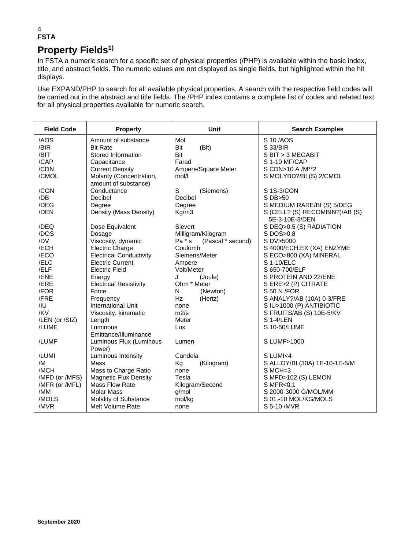### 4 **FSTA Property Fields<sup>1)</sup>**

In FSTA a numeric search for a specific set of physical properties (/PHP) is available within the basic index, title, and abstract fields. The numeric values are not displayed as single fields, but highlighted within the hit displays.

Use EXPAND/PHP to search for all available physical properties. A search with the respective field codes will be carried out in the abstract and title fields. The /PHP index contains a complete list of codes and related text for all physical properties available for numeric search.

| <b>Field Code</b> | <b>Property</b>                                  | <b>Unit</b>                   | <b>Search Examples</b>         |
|-------------------|--------------------------------------------------|-------------------------------|--------------------------------|
| /AOS              | Amount of substance                              | Mol                           | S 10/AOS                       |
| /BIR              | <b>Bit Rate</b>                                  | Bit<br>(Bit)                  | S 33/BIR                       |
| /BIT              | Stored Information                               | Bit                           | S BIT > 3 MEGABIT              |
| /CAP              | Capacitance                                      | Farad                         | S 1-10 MF/CAP                  |
| /CDN              | <b>Current Density</b>                           | Ampere/Square Meter           | S CDN>10 A /M**2               |
| /CMOL             | Molarity (Concentration,<br>amount of substance) | mol/l                         | S MOLYBD?/BI (S) 2/CMOL        |
| /CON              | Conductance                                      | S<br>(Siemens)                | S 1S-3/CON                     |
| /DB               | Decibel                                          | Decibel                       | S DB>50                        |
| /DEG              | Degree                                           | Degree                        | S MEDIUM RARE/BI (S) 5/DEG     |
| /DEN              | Density (Mass Density)                           | Kg/m3                         | S (CELL? (S) RECOMBIN?)/AB (S) |
|                   |                                                  |                               | 5E-3-10E-3/DEN                 |
| /DEQ              | Dose Equivalent                                  | Sievert                       | S DEQ>0.5 (S) RADIATION        |
| /DOS              | Dosage                                           | Milligram/Kilogram            | S DOS>0.8                      |
| /DV               | Viscosity, dynamic                               | $Pa * s$<br>(Pascal * second) | S DV>5000                      |
| /ECH              | <b>Electric Charge</b>                           | Coulomb                       | S 4000/ECH.EX (XA) ENZYME      |
| /ECO              | <b>Electrical Conductivity</b>                   | Siemens/Meter                 | S ECO>800 (XA) MINERAL         |
| /ELC              | <b>Electric Current</b>                          | Ampere                        | S 1-10/ELC                     |
| /ELF              | <b>Electric Field</b>                            | Volt/Meter                    | S 650-700/ELF                  |
| /ENE              | Energy                                           | J<br>(Joule)                  | S PROTEIN AND 22/ENE           |
| /ERE              | <b>Electrical Resistivity</b>                    | Ohm * Meter                   | S ERE>2 (P) CITRATE            |
| /FOR              | Force                                            | N<br>(Newton)                 | S 50 N / FOR                   |
| /FRE              | Frequency                                        | Hz<br>(Hertz)                 | S ANALY?/AB (10A) 0-3/FRE      |
| /IU               | <b>International Unit</b>                        | none                          | S IU>1000 (P) ANTIBIOTIC       |
| /KV               | Viscosity, kinematic                             | m2/s                          | S FRUITS/AB (S) 10E-5/KV       |
| /LEN (or /SIZ)    | Length                                           | Meter                         | S 1-4/LEN                      |
| /LUME             | Luminous                                         | Lux                           | S 10-50/LUME                   |
|                   | Emittance/Illuminance                            |                               |                                |
| /LUMF             | Luminous Flux (Luminous                          | Lumen                         | S LUMF>1000                    |
| /LUMI             | Power)<br>Luminous Intensity                     | Candela                       | S LUMI<4                       |
| /M                | Mass                                             | (Kilogram)<br>Kg              | S ALLOY/BI (30A) 1E-10-1E-5/M  |
| /MCH              | Mass to Charge Ratio                             | none                          | $S$ MCH=3                      |
| /MFD (or /MFS)    | <b>Magnetic Flux Density</b>                     | Tesla                         | S MFD>102 (S) LEMON            |
| /MFR (or /MFL)    | Mass Flow Rate                                   | Kilogram/Second               | S MFR<0.1                      |
| /MM               | <b>Molar Mass</b>                                | q/mol                         | S 2000-3000 G/MOL/MM           |
| /MOLS             | Molality of Substance                            | mol/kg                        | S 01.-10 MOL/KG/MOLS           |
| /MVR              | Melt Volume Rate                                 | none                          | S 5-10 / MVR                   |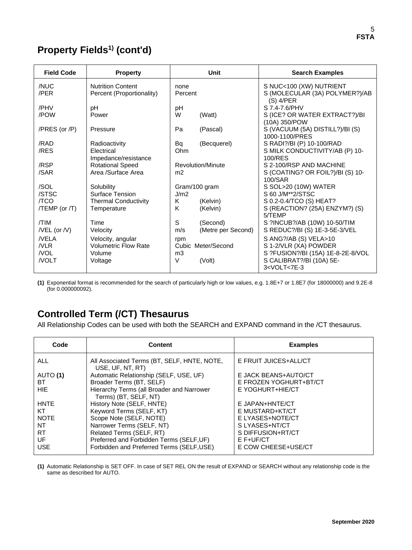# **Property Fields1) (cont'd)**

| <b>Field Code</b>  | <b>Property</b>                                       |                 | Unit               | <b>Search Examples</b>                                                   |
|--------------------|-------------------------------------------------------|-----------------|--------------------|--------------------------------------------------------------------------|
| /NUC<br>/PER       | <b>Nutrition Content</b><br>Percent (Proportionality) | none<br>Percent |                    | S NUC<100 (XW) NUTRIENT<br>S (MOLECULAR (3A) POLYMER?)/AB<br>$(S)$ 4/PER |
| /PHV               | рH                                                    | pH              |                    | S 7.4-7.6/PHV                                                            |
| /POW               | Power                                                 | W               | (Watt)             | S (ICE? OR WATER EXTRACT?)/BI<br>(10A) 350/POW                           |
| /PRES (or /P)      | Pressure                                              | Pa              | (Pascal)           | S (VACUUM (5A) DISTILL?)/BI (S)<br>1000-1100/PRES                        |
| /RAD               | Radioactivity                                         | Bq              | (Becquerel)        | S RADI?/BI (P) 10-100/RAD                                                |
| /RES               | <b>Electrical</b>                                     | Ohm             |                    | S MILK CONDUCTIVITY/AB (P) 10-                                           |
|                    | Impedance/resistance                                  |                 |                    | 100/RES                                                                  |
| /RSP               | <b>Rotational Speed</b>                               |                 | Revolution/Minute  | S 2-100/RSP AND MACHINE                                                  |
| /SAR               | Area /Surface Area                                    | m <sub>2</sub>  |                    | S (COATING? OR FOIL?)/BI (S) 10-<br>100/SAR                              |
| /SOL               | Solubility                                            |                 | Gram/100 gram      | S SOL>20 (10W) WATER                                                     |
| /STSC              | Surface Tension                                       | J/m2            |                    | S 60 J/M**2/STSC                                                         |
| /TCO               | <b>Thermal Conductivity</b>                           | K               | (Kelvin)           | S 0.2-0.4/TCO (S) HEAT?                                                  |
| /TEMP (or /T)      | Temperature                                           | K               | (Kelvin)           | S (REACTION? (25A) ENZYM?) (S)<br>5/TFMP                                 |
| /TIM               | Time                                                  | S               | (Second)           | S ?INCUB?/AB (10W) 10-50/TIM                                             |
| $/$ VEL (or $/$ V) | Velocity                                              | m/s             | (Metre per Second) | S REDUC?/BI (S) 1E-3-5E-3/VEL                                            |
| <b>NELA</b>        | Velocity, angular                                     | rpm             |                    | S ANG?/AB (S) VELA>10                                                    |
| NLR                | <b>Volumetric Flow Rate</b>                           |                 | Cubic Meter/Second | S 1-2/VLR (XA) POWDER                                                    |
| /VOL               | Volume                                                | m <sub>3</sub>  |                    | S ?FUSION?/BI (15A) 1E-8-2E-8/VOL                                        |
| <b>NOLT</b>        | Voltage                                               | $\vee$          | (Volt)             | S CALIBRAT?/BI (10A) 5E-<br>3 <volt<7e-3< td=""></volt<7e-3<>            |

**(1)** Exponential format is recommended for the search of particularly high or low values, e.g. 1.8E+7 or 1.8E7 (for 18000000) and 9.2E-8 (for 0.000000092).

## **Controlled Term (/CT) Thesaurus**

All Relationship Codes can be used with both the SEARCH and EXPAND command in the /CT thesaurus.

| Code        | <b>Content</b>                                                     | <b>Examples</b>        |
|-------------|--------------------------------------------------------------------|------------------------|
| <b>ALL</b>  | All Associated Terms (BT, SELF, HNTE, NOTE,<br>USE, UF, NT, RT)    | E FRUIT JUICES+ALL/CT  |
| AUTO (1)    | Automatic Relationship (SELF, USE, UF)                             | E JACK BEANS+AUTO/CT   |
| BТ          | Broader Terms (BT, SELF)                                           | E FROZEN YOGHURT+BT/CT |
| <b>HIE</b>  | Hierarchy Terms (all Broader and Narrower<br>Terms) (BT, SELF, NT) | E YOGHURT+HIE/CT       |
| <b>HNTE</b> | History Note (SELF, HNTE)                                          | E JAPAN+HNTE/CT        |
| KT          | Keyword Terms (SELF, KT)                                           | E MUSTARD+KT/CT        |
| <b>NOTE</b> | Scope Note (SELF, NOTE)                                            | E LYASES+NOTE/CT       |
| NT          | Narrower Terms (SELF, NT)                                          | S LYASES+NT/CT         |
| <b>RT</b>   | Related Terms (SELF, RT)                                           | S DIFFUSION+RT/CT      |
| UF          | Preferred and Forbidden Terms (SELF, UF)                           | $E$ F+UF/CT            |
| <b>USE</b>  | Forbidden and Preferred Terms (SELF, USE)                          | E COW CHEESE+USE/CT    |

**(1)** Automatic Relationship is SET OFF. In case of SET REL ON the result of EXPAND or SEARCH without any relationship code is the same as described for AUTO.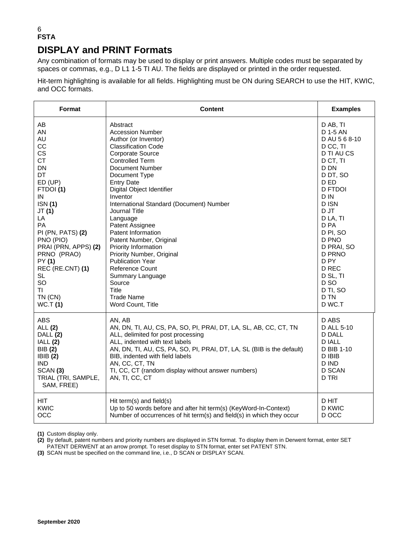#### 6 **FSTA DISPLAY and PRINT Formats**

Any combination of formats may be used to display or print answers. Multiple codes must be separated by spaces or commas, e.g., D L1 1-5 TI AU. The fields are displayed or printed in the order requested.

Hit-term highlighting is available for all fields. Highlighting must be ON during SEARCH to use the HIT, KWIC, and OCC formats.

| <b>Format</b>                                                                                                                                | <b>Content</b>                                                                                                                                                                                                                                                                                                                                           | <b>Examples</b>                                                                                                 |
|----------------------------------------------------------------------------------------------------------------------------------------------|----------------------------------------------------------------------------------------------------------------------------------------------------------------------------------------------------------------------------------------------------------------------------------------------------------------------------------------------------------|-----------------------------------------------------------------------------------------------------------------|
| AB                                                                                                                                           | Abstract                                                                                                                                                                                                                                                                                                                                                 | D AB, TI                                                                                                        |
| AN                                                                                                                                           | <b>Accession Number</b>                                                                                                                                                                                                                                                                                                                                  | D 1-5 AN                                                                                                        |
| AU                                                                                                                                           | Author (or Inventor)                                                                                                                                                                                                                                                                                                                                     | D AU 5 6 8-10                                                                                                   |
| CC                                                                                                                                           | <b>Classification Code</b>                                                                                                                                                                                                                                                                                                                               | D CC, TI                                                                                                        |
| <b>CS</b>                                                                                                                                    | Corporate Source                                                                                                                                                                                                                                                                                                                                         | D TI AU CS                                                                                                      |
| <b>CT</b>                                                                                                                                    | <b>Controlled Term</b>                                                                                                                                                                                                                                                                                                                                   | D CT, TI                                                                                                        |
| <b>DN</b>                                                                                                                                    | Document Number                                                                                                                                                                                                                                                                                                                                          | D DN                                                                                                            |
| DT                                                                                                                                           | Document Type                                                                                                                                                                                                                                                                                                                                            | D DT, SO                                                                                                        |
| ED (UP)                                                                                                                                      | <b>Entry Date</b>                                                                                                                                                                                                                                                                                                                                        | D ED                                                                                                            |
| FTDOI(1)                                                                                                                                     | Digital Object Identifier                                                                                                                                                                                                                                                                                                                                | <b>D FTDOI</b>                                                                                                  |
| IN                                                                                                                                           | Inventor                                                                                                                                                                                                                                                                                                                                                 | D IN                                                                                                            |
| <b>ISN</b> (1)                                                                                                                               | International Standard (Document) Number                                                                                                                                                                                                                                                                                                                 | D ISN                                                                                                           |
| JT (1)                                                                                                                                       | Journal Title                                                                                                                                                                                                                                                                                                                                            | D JT                                                                                                            |
| LA                                                                                                                                           | Language                                                                                                                                                                                                                                                                                                                                                 | D LA, TI                                                                                                        |
| PA                                                                                                                                           | Patent Assignee                                                                                                                                                                                                                                                                                                                                          | D <sub>PA</sub>                                                                                                 |
| PI (PN, PATS) (2)                                                                                                                            | Patent Information                                                                                                                                                                                                                                                                                                                                       | D PI, SO                                                                                                        |
| PNO (PIO)                                                                                                                                    | Patent Number, Original                                                                                                                                                                                                                                                                                                                                  | D PNO                                                                                                           |
| PRAI (PRN, APPS) (2)                                                                                                                         | Priority Information                                                                                                                                                                                                                                                                                                                                     | D PRAI, SO                                                                                                      |
| PRNO (PRAO)                                                                                                                                  | Priority Number, Original                                                                                                                                                                                                                                                                                                                                | <b>D PRNO</b>                                                                                                   |
| PY (1)                                                                                                                                       | <b>Publication Year</b>                                                                                                                                                                                                                                                                                                                                  | D <sub>PY</sub>                                                                                                 |
| REC (RE.CNT) (1)                                                                                                                             | <b>Reference Count</b>                                                                                                                                                                                                                                                                                                                                   | D REC                                                                                                           |
| <b>SL</b>                                                                                                                                    | Summary Language                                                                                                                                                                                                                                                                                                                                         | D SL, TI                                                                                                        |
| SO                                                                                                                                           | Source                                                                                                                                                                                                                                                                                                                                                   | D <sub>SO</sub>                                                                                                 |
| TI                                                                                                                                           | Title                                                                                                                                                                                                                                                                                                                                                    | D TI, SO                                                                                                        |
| TN (CN)                                                                                                                                      | <b>Trade Name</b>                                                                                                                                                                                                                                                                                                                                        | D TN                                                                                                            |
| WC.T(1)                                                                                                                                      | Word Count, Title                                                                                                                                                                                                                                                                                                                                        | D WC.T                                                                                                          |
| <b>ABS</b><br>ALL (2)<br>DALL (2)<br>IALL(2)<br>BIB (2)<br>IBIB(2)<br><b>IND</b><br>SCAN <sub>(3)</sub><br>TRIAL (TRI, SAMPLE,<br>SAM, FREE) | AN, AB<br>AN, DN, TI, AU, CS, PA, SO, PI, PRAI, DT, LA, SL, AB, CC, CT, TN<br>ALL, delimited for post processing<br>ALL, indented with text labels<br>AN, DN, TI, AU, CS, PA, SO, PI, PRAI, DT, LA, SL (BIB is the default)<br>BIB, indented with field labels<br>AN, CC, CT, TN<br>TI, CC, CT (random display without answer numbers)<br>AN, TI, CC, CT | D ABS<br>D ALL 5-10<br>D DALL<br><b>DIALL</b><br>D BIB 1-10<br>D IBIB<br>D IND<br><b>D SCAN</b><br><b>D TRI</b> |
| <b>HIT</b>                                                                                                                                   | Hit term(s) and field(s)                                                                                                                                                                                                                                                                                                                                 | D HIT                                                                                                           |
| KWIC                                                                                                                                         | Up to 50 words before and after hit term(s) (KeyWord-In-Context)                                                                                                                                                                                                                                                                                         | <b>D KWIC</b>                                                                                                   |
| OCC                                                                                                                                          | Number of occurrences of hit term(s) and field(s) in which they occur                                                                                                                                                                                                                                                                                    | D OCC                                                                                                           |

**(1)** Custom display only.

**(2)** By default, patent numbers and priority numbers are displayed in STN format. To display them in Derwent format, enter SET

PATENT DERWENT at an arrow prompt. To reset display to STN format, enter set PATENT STN.

**(3)** SCAN must be specified on the command line, i.e., D SCAN or DISPLAY SCAN.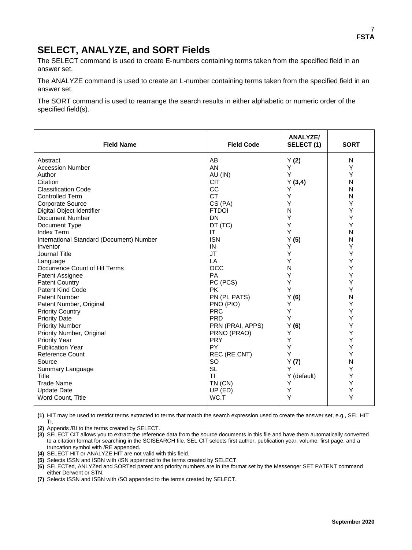### **SELECT, ANALYZE, and SORT Fields**

The SELECT command is used to create E-numbers containing terms taken from the specified field in an answer set.

The ANALYZE command is used to create an L-number containing terms taken from the specified field in an answer set.

The SORT command is used to rearrange the search results in either alphabetic or numeric order of the specified field(s).

| <b>Field Name</b>                        | <b>Field Code</b> | <b>ANALYZE/</b><br>SELECT(1) | <b>SORT</b> |
|------------------------------------------|-------------------|------------------------------|-------------|
| Abstract                                 | AB                | Y(2)                         | N           |
| <b>Accession Number</b>                  | AN                | Y                            | Y           |
| Author                                   | AU (IN)           | Y                            | Y           |
| Citation                                 | <b>CIT</b>        | Y(3,4)                       | N           |
| <b>Classification Code</b>               | CC                | Υ                            | N           |
| <b>Controlled Term</b>                   | <b>CT</b>         | Υ                            | N           |
| Corporate Source                         | CS (PA)           | Y                            | Y           |
| Digital Object Identifier                | <b>FTDOI</b>      | N                            | Y           |
| Document Number                          | <b>DN</b>         | Y                            | Y           |
| Document Type                            | DT (TC)           | Y                            | Υ           |
| <b>Index Term</b>                        | IT                | Y                            | N           |
| International Standard (Document) Number | <b>ISN</b>        | Y(5)                         | N           |
| Inventor                                 | IN                | Y                            | Υ           |
| Journal Title                            | <b>JT</b>         | Υ                            | Υ           |
| Language                                 | LA                | Υ                            | Υ           |
| Occurrence Count of Hit Terms            | <b>OCC</b>        | N                            | Υ           |
| Patent Assignee                          | PA                | Υ                            | Υ           |
| <b>Patent Country</b>                    | PC (PCS)          | Y                            | Υ           |
| Patent Kind Code                         | <b>PK</b>         | Y                            | Y           |
| <b>Patent Number</b>                     | PN (PI, PATS)     | Y(6)                         | N           |
| Patent Number, Original                  | PNO (PIO)         | Y                            | Y           |
| <b>Priority Country</b>                  | <b>PRC</b>        | Y                            | Y           |
| <b>Priority Date</b>                     | <b>PRD</b>        | Υ                            | Υ           |
| <b>Priority Number</b>                   | PRN (PRAI, APPS)  | Y(6)                         | Υ           |
| Priority Number, Original                | PRNO (PRAO)       | Υ                            | Υ           |
| <b>Priority Year</b>                     | <b>PRY</b>        | Υ                            | Υ           |
| <b>Publication Year</b>                  | <b>PY</b>         | Y                            | Y           |
| <b>Reference Count</b>                   | REC (RE.CNT)      | Y                            | Υ           |
| Source                                   | <b>SO</b>         | Y(7)                         | N           |
| Summary Language                         | <b>SL</b>         | Y                            | Υ           |
| Title                                    | TI                | Y (default)                  | Υ           |
| <b>Trade Name</b>                        | TN (CN)           | Υ                            | Υ           |
| <b>Update Date</b>                       | UP (ED)           | Υ                            | Υ           |
| Word Count, Title                        | WC.T              | Υ                            | Y           |

**(1)** HIT may be used to restrict terms extracted to terms that match the search expression used to create the answer set, e.g., SEL HIT TI.

**(2)** Appends /BI to the terms created by SELECT.

**(3)** SELECT CIT allows you to extract the reference data from the source documents in this file and have them automatically converted to a citation format for searching in the SCISEARCH file. SEL CIT selects first author, publication year, volume, first page, and a truncation symbol with /RE appended.

**(4)** SELECT HIT or ANALYZE HIT are not valid with this field.

**(5)** Selects ISSN and ISBN with /ISN appended to the terms created by SELECT.

**(6)** SELECTed, ANLYZed and SORTed patent and priority numbers are in the format set by the Messenger SET PATENT command either Derwent or STN.

**(7)** Selects ISSN and ISBN with /SO appended to the terms created by SELECT.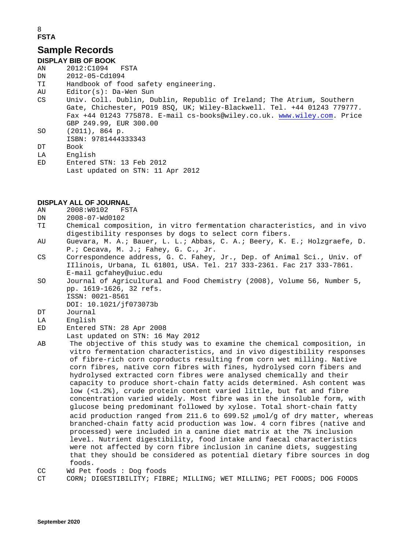#### 8 **FSTA**

#### **Sample Records**

#### **DISPLAY BIB OF BOOK**

- AN 2012:C1094 FSTA<br>DN 2012-05-Cd1094
- DN 2012-05-Cd1094<br>TI Handbook of fo
- TI Handbook of food safety engineering.
- $Editor(s):$  Da-Wen Sun
- CS Univ. Coll. Dublin, Dublin, Republic of Ireland; The Atrium, Southern Gate, Chichester, PO19 8SQ, UK; Wiley-Blackwell. Tel. +44 01243 779777. Fax +44 01243 775878. E-mail cs-books@wiley.co.uk. [www.wiley.com.](http://www.wiley.com/) Price GBP 249.99, EUR 300.00
- SO (2011), 864 p.
- ISBN: 9781444333343<br>DT Book
- Book
- LA English
- ED Entered STN: 13 Feb 2012 Last updated on STN: 11 Apr 2012

# **DISPLAY ALL OF JOURNAL**<br>AN 2008: W0102 FSTA

- $2008:W0102$
- DN 2008-07-Wd0102<br>TI Chemical compo:
- Chemical composition, in vitro fermentation characteristics, and in vivo digestibility responses by dogs to select corn fibers.<br>AU Guevara, M. A.; Bauer, L. L.; Abbas, C. A.; Beery, K.
- Guevara, M. A.; Bauer, L. L.; Abbas, C. A.; Beery, K. E.; Holzgraefe, D. P.; Cecava, M. J.; Fahey, G. C., Jr.<br>CS Correspondence address, G. C. Fahey,
- Correspondence address, G. C. Fahey, Jr., Dep. of Animal Sci., Univ. of IIlinois, Urbana, IL 61801, USA. Tel. 217 333-2361. Fac 217 333-7861. E-mail gcfahey@uiuc.edu
- SO Journal of Agricultural and Food Chemistry (2008), Volume 56, Number 5, pp. 1619-1626, 32 refs. ISSN: 0021-8561
- DOI: 10.1021/jf073073b<br>Turnal
- DT Journal<br>LA English
- LA English<br>ED Entered
- Entered STN: 28 Apr 2008
- Last updated on STN: 16 May 2012<br>AB The objective of this study was
- The objective of this study was to examine the chemical composition, in vitro fermentation characteristics, and in vivo digestibility responses of fibre-rich corn coproducts resulting from corn wet milling. Native corn fibres, native corn fibres with fines, hydrolysed corn fibers and hydrolysed extracted corn fibres were analysed chemically and their capacity to produce short-chain fatty acids determined. Ash content was low (<1.2%), crude protein content varied little, but fat and fibre concentration varied widely. Most fibre was in the insoluble form, with glucose being predominant followed by xylose. Total short-chain fatty acid production ranged from 211.6 to 699.52 µmol/g of dry matter, whereas branched-chain fatty acid production was low. 4 corn fibres (native and processed) were included in a canine diet matrix at the 7% inclusion level. Nutrient digestibility, food intake and faecal characteristics were not affected by corn fibre inclusion in canine diets, suggesting that they should be considered as potential dietary fibre sources in dog foods.

CC Wd Pet foods : Dog foods<br>CT CORN; DIGESTIBILITY; FIB

```
CORN; DIGESTIBILITY; FIBRE; MILLING; WET MILLING; PET FOODS; DOG FOODS
```